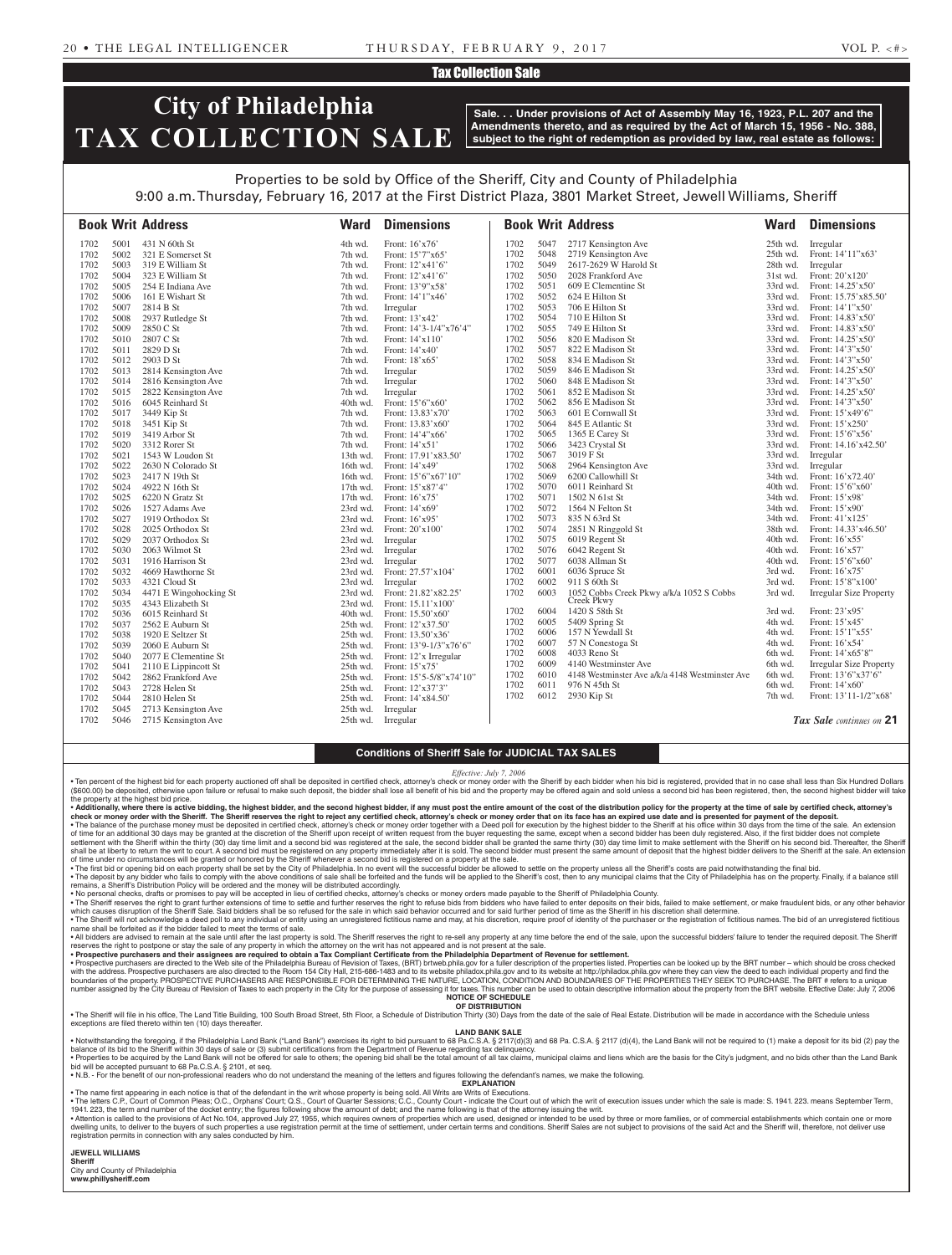### Tax Collection Sale

# **City of Philadelphia TAX COLLECTION SALE**

**Sale. . . Under provisions of Act of Assembly May 16, 1923, P.L. 207 and the Amendments thereto, and as required by the Act of March 15, 1956 - No. 388, subject to the right of redemption as provided by law, real estate as follows:**

## Properties to be sold by Office of the Sheriff, City and County of Philadelphia

9:00 a.m. Thursday, February 16, 2017 at the First District Plaza, 3801 Market Street, Jewell Williams, Sheriff

|      |                                                                                                                                                                                                                              | <b>Ward</b>                                                                                                                                                                                                                                                                                                                                                                                                                                                                                                                   | <b>Dimensions</b>                                                                                                                                                                                                  |                                                                                                                                                                                                                                                                                                                                                                                                                                                                                                           |                                                                                                                                                                                                                                                                                              |                                                                                                                                                                                                                                                                                                                              | Ward                                                                                                                                                                                                                                                                                                                                                                                                                                                                                                                                                                                                                                                                                                                                                                                                                                                              | <b>Dimensions</b>                                                                                                                                                                                                                                                                                                                                                                               |
|------|------------------------------------------------------------------------------------------------------------------------------------------------------------------------------------------------------------------------------|-------------------------------------------------------------------------------------------------------------------------------------------------------------------------------------------------------------------------------------------------------------------------------------------------------------------------------------------------------------------------------------------------------------------------------------------------------------------------------------------------------------------------------|--------------------------------------------------------------------------------------------------------------------------------------------------------------------------------------------------------------------|-----------------------------------------------------------------------------------------------------------------------------------------------------------------------------------------------------------------------------------------------------------------------------------------------------------------------------------------------------------------------------------------------------------------------------------------------------------------------------------------------------------|----------------------------------------------------------------------------------------------------------------------------------------------------------------------------------------------------------------------------------------------------------------------------------------------|------------------------------------------------------------------------------------------------------------------------------------------------------------------------------------------------------------------------------------------------------------------------------------------------------------------------------|-------------------------------------------------------------------------------------------------------------------------------------------------------------------------------------------------------------------------------------------------------------------------------------------------------------------------------------------------------------------------------------------------------------------------------------------------------------------------------------------------------------------------------------------------------------------------------------------------------------------------------------------------------------------------------------------------------------------------------------------------------------------------------------------------------------------------------------------------------------------|-------------------------------------------------------------------------------------------------------------------------------------------------------------------------------------------------------------------------------------------------------------------------------------------------------------------------------------------------------------------------------------------------|
| 5001 | 431 N 60th St                                                                                                                                                                                                                | 4th wd.                                                                                                                                                                                                                                                                                                                                                                                                                                                                                                                       | Front: 16'x76'                                                                                                                                                                                                     | 1702                                                                                                                                                                                                                                                                                                                                                                                                                                                                                                      | 5047                                                                                                                                                                                                                                                                                         | 2717 Kensington Ave                                                                                                                                                                                                                                                                                                          | 25th wd.                                                                                                                                                                                                                                                                                                                                                                                                                                                                                                                                                                                                                                                                                                                                                                                                                                                          | Irregular                                                                                                                                                                                                                                                                                                                                                                                       |
| 5002 | 321 E Somerset St                                                                                                                                                                                                            | 7th wd.                                                                                                                                                                                                                                                                                                                                                                                                                                                                                                                       | Front: 15'7"x65'                                                                                                                                                                                                   | 1702                                                                                                                                                                                                                                                                                                                                                                                                                                                                                                      |                                                                                                                                                                                                                                                                                              |                                                                                                                                                                                                                                                                                                                              | 25th wd.                                                                                                                                                                                                                                                                                                                                                                                                                                                                                                                                                                                                                                                                                                                                                                                                                                                          | Front: 14'11"x63'                                                                                                                                                                                                                                                                                                                                                                               |
| 5003 | 319 E William St                                                                                                                                                                                                             | 7th wd.                                                                                                                                                                                                                                                                                                                                                                                                                                                                                                                       | Front: 12'x41'6"                                                                                                                                                                                                   | 1702                                                                                                                                                                                                                                                                                                                                                                                                                                                                                                      | 5049                                                                                                                                                                                                                                                                                         | 2617-2629 W Harold St                                                                                                                                                                                                                                                                                                        | 28th wd.                                                                                                                                                                                                                                                                                                                                                                                                                                                                                                                                                                                                                                                                                                                                                                                                                                                          | Irregular                                                                                                                                                                                                                                                                                                                                                                                       |
| 5004 | 323 E William St                                                                                                                                                                                                             | 7th wd.                                                                                                                                                                                                                                                                                                                                                                                                                                                                                                                       | Front: 12'x41'6"                                                                                                                                                                                                   | 1702                                                                                                                                                                                                                                                                                                                                                                                                                                                                                                      | 5050                                                                                                                                                                                                                                                                                         | 2028 Frankford Ave                                                                                                                                                                                                                                                                                                           | 31st wd.                                                                                                                                                                                                                                                                                                                                                                                                                                                                                                                                                                                                                                                                                                                                                                                                                                                          | Front: 20'x120'                                                                                                                                                                                                                                                                                                                                                                                 |
|      |                                                                                                                                                                                                                              | 7th wd.                                                                                                                                                                                                                                                                                                                                                                                                                                                                                                                       |                                                                                                                                                                                                                    |                                                                                                                                                                                                                                                                                                                                                                                                                                                                                                           |                                                                                                                                                                                                                                                                                              |                                                                                                                                                                                                                                                                                                                              |                                                                                                                                                                                                                                                                                                                                                                                                                                                                                                                                                                                                                                                                                                                                                                                                                                                                   | Front: 14.25'x50'                                                                                                                                                                                                                                                                                                                                                                               |
|      |                                                                                                                                                                                                                              |                                                                                                                                                                                                                                                                                                                                                                                                                                                                                                                               |                                                                                                                                                                                                                    |                                                                                                                                                                                                                                                                                                                                                                                                                                                                                                           |                                                                                                                                                                                                                                                                                              |                                                                                                                                                                                                                                                                                                                              |                                                                                                                                                                                                                                                                                                                                                                                                                                                                                                                                                                                                                                                                                                                                                                                                                                                                   | Front: $15.75'$ x 85.50'                                                                                                                                                                                                                                                                                                                                                                        |
|      |                                                                                                                                                                                                                              |                                                                                                                                                                                                                                                                                                                                                                                                                                                                                                                               |                                                                                                                                                                                                                    |                                                                                                                                                                                                                                                                                                                                                                                                                                                                                                           |                                                                                                                                                                                                                                                                                              |                                                                                                                                                                                                                                                                                                                              |                                                                                                                                                                                                                                                                                                                                                                                                                                                                                                                                                                                                                                                                                                                                                                                                                                                                   | Front: 14'1"x50"                                                                                                                                                                                                                                                                                                                                                                                |
|      |                                                                                                                                                                                                                              |                                                                                                                                                                                                                                                                                                                                                                                                                                                                                                                               |                                                                                                                                                                                                                    |                                                                                                                                                                                                                                                                                                                                                                                                                                                                                                           |                                                                                                                                                                                                                                                                                              |                                                                                                                                                                                                                                                                                                                              |                                                                                                                                                                                                                                                                                                                                                                                                                                                                                                                                                                                                                                                                                                                                                                                                                                                                   | Front: 14.83'x50'                                                                                                                                                                                                                                                                                                                                                                               |
|      |                                                                                                                                                                                                                              |                                                                                                                                                                                                                                                                                                                                                                                                                                                                                                                               |                                                                                                                                                                                                                    |                                                                                                                                                                                                                                                                                                                                                                                                                                                                                                           |                                                                                                                                                                                                                                                                                              |                                                                                                                                                                                                                                                                                                                              |                                                                                                                                                                                                                                                                                                                                                                                                                                                                                                                                                                                                                                                                                                                                                                                                                                                                   | Front: $14.83'x50'$                                                                                                                                                                                                                                                                                                                                                                             |
|      |                                                                                                                                                                                                                              |                                                                                                                                                                                                                                                                                                                                                                                                                                                                                                                               |                                                                                                                                                                                                                    |                                                                                                                                                                                                                                                                                                                                                                                                                                                                                                           |                                                                                                                                                                                                                                                                                              |                                                                                                                                                                                                                                                                                                                              |                                                                                                                                                                                                                                                                                                                                                                                                                                                                                                                                                                                                                                                                                                                                                                                                                                                                   | Front: $14.25'x50'$                                                                                                                                                                                                                                                                                                                                                                             |
|      |                                                                                                                                                                                                                              |                                                                                                                                                                                                                                                                                                                                                                                                                                                                                                                               |                                                                                                                                                                                                                    |                                                                                                                                                                                                                                                                                                                                                                                                                                                                                                           |                                                                                                                                                                                                                                                                                              |                                                                                                                                                                                                                                                                                                                              |                                                                                                                                                                                                                                                                                                                                                                                                                                                                                                                                                                                                                                                                                                                                                                                                                                                                   | Front: $14'3''x50'$                                                                                                                                                                                                                                                                                                                                                                             |
|      |                                                                                                                                                                                                                              |                                                                                                                                                                                                                                                                                                                                                                                                                                                                                                                               |                                                                                                                                                                                                                    |                                                                                                                                                                                                                                                                                                                                                                                                                                                                                                           |                                                                                                                                                                                                                                                                                              |                                                                                                                                                                                                                                                                                                                              |                                                                                                                                                                                                                                                                                                                                                                                                                                                                                                                                                                                                                                                                                                                                                                                                                                                                   | Front: 14'3"x50'                                                                                                                                                                                                                                                                                                                                                                                |
|      |                                                                                                                                                                                                                              |                                                                                                                                                                                                                                                                                                                                                                                                                                                                                                                               |                                                                                                                                                                                                                    |                                                                                                                                                                                                                                                                                                                                                                                                                                                                                                           |                                                                                                                                                                                                                                                                                              |                                                                                                                                                                                                                                                                                                                              |                                                                                                                                                                                                                                                                                                                                                                                                                                                                                                                                                                                                                                                                                                                                                                                                                                                                   | Front: $14.25'$ x50 <sup>'</sup>                                                                                                                                                                                                                                                                                                                                                                |
|      |                                                                                                                                                                                                                              |                                                                                                                                                                                                                                                                                                                                                                                                                                                                                                                               |                                                                                                                                                                                                                    |                                                                                                                                                                                                                                                                                                                                                                                                                                                                                                           |                                                                                                                                                                                                                                                                                              |                                                                                                                                                                                                                                                                                                                              |                                                                                                                                                                                                                                                                                                                                                                                                                                                                                                                                                                                                                                                                                                                                                                                                                                                                   | Front: 14'3"x50'                                                                                                                                                                                                                                                                                                                                                                                |
|      |                                                                                                                                                                                                                              |                                                                                                                                                                                                                                                                                                                                                                                                                                                                                                                               |                                                                                                                                                                                                                    |                                                                                                                                                                                                                                                                                                                                                                                                                                                                                                           |                                                                                                                                                                                                                                                                                              |                                                                                                                                                                                                                                                                                                                              |                                                                                                                                                                                                                                                                                                                                                                                                                                                                                                                                                                                                                                                                                                                                                                                                                                                                   | Front: 14.25'x50'                                                                                                                                                                                                                                                                                                                                                                               |
|      |                                                                                                                                                                                                                              |                                                                                                                                                                                                                                                                                                                                                                                                                                                                                                                               |                                                                                                                                                                                                                    |                                                                                                                                                                                                                                                                                                                                                                                                                                                                                                           |                                                                                                                                                                                                                                                                                              |                                                                                                                                                                                                                                                                                                                              |                                                                                                                                                                                                                                                                                                                                                                                                                                                                                                                                                                                                                                                                                                                                                                                                                                                                   | Front: 14'3"x50"                                                                                                                                                                                                                                                                                                                                                                                |
|      |                                                                                                                                                                                                                              |                                                                                                                                                                                                                                                                                                                                                                                                                                                                                                                               |                                                                                                                                                                                                                    |                                                                                                                                                                                                                                                                                                                                                                                                                                                                                                           |                                                                                                                                                                                                                                                                                              |                                                                                                                                                                                                                                                                                                                              |                                                                                                                                                                                                                                                                                                                                                                                                                                                                                                                                                                                                                                                                                                                                                                                                                                                                   | Front: $15'x49'6''$                                                                                                                                                                                                                                                                                                                                                                             |
|      |                                                                                                                                                                                                                              |                                                                                                                                                                                                                                                                                                                                                                                                                                                                                                                               |                                                                                                                                                                                                                    |                                                                                                                                                                                                                                                                                                                                                                                                                                                                                                           |                                                                                                                                                                                                                                                                                              |                                                                                                                                                                                                                                                                                                                              |                                                                                                                                                                                                                                                                                                                                                                                                                                                                                                                                                                                                                                                                                                                                                                                                                                                                   | Front: $15'x250'$                                                                                                                                                                                                                                                                                                                                                                               |
|      |                                                                                                                                                                                                                              |                                                                                                                                                                                                                                                                                                                                                                                                                                                                                                                               |                                                                                                                                                                                                                    |                                                                                                                                                                                                                                                                                                                                                                                                                                                                                                           |                                                                                                                                                                                                                                                                                              |                                                                                                                                                                                                                                                                                                                              |                                                                                                                                                                                                                                                                                                                                                                                                                                                                                                                                                                                                                                                                                                                                                                                                                                                                   | Front: $15'6''x56'$                                                                                                                                                                                                                                                                                                                                                                             |
|      |                                                                                                                                                                                                                              |                                                                                                                                                                                                                                                                                                                                                                                                                                                                                                                               |                                                                                                                                                                                                                    |                                                                                                                                                                                                                                                                                                                                                                                                                                                                                                           |                                                                                                                                                                                                                                                                                              |                                                                                                                                                                                                                                                                                                                              |                                                                                                                                                                                                                                                                                                                                                                                                                                                                                                                                                                                                                                                                                                                                                                                                                                                                   | Front: 14.16'x42.50'                                                                                                                                                                                                                                                                                                                                                                            |
|      |                                                                                                                                                                                                                              |                                                                                                                                                                                                                                                                                                                                                                                                                                                                                                                               |                                                                                                                                                                                                                    |                                                                                                                                                                                                                                                                                                                                                                                                                                                                                                           |                                                                                                                                                                                                                                                                                              |                                                                                                                                                                                                                                                                                                                              |                                                                                                                                                                                                                                                                                                                                                                                                                                                                                                                                                                                                                                                                                                                                                                                                                                                                   | Irregular                                                                                                                                                                                                                                                                                                                                                                                       |
|      |                                                                                                                                                                                                                              | 16th wd.                                                                                                                                                                                                                                                                                                                                                                                                                                                                                                                      |                                                                                                                                                                                                                    |                                                                                                                                                                                                                                                                                                                                                                                                                                                                                                           |                                                                                                                                                                                                                                                                                              |                                                                                                                                                                                                                                                                                                                              |                                                                                                                                                                                                                                                                                                                                                                                                                                                                                                                                                                                                                                                                                                                                                                                                                                                                   | Irregular                                                                                                                                                                                                                                                                                                                                                                                       |
|      |                                                                                                                                                                                                                              |                                                                                                                                                                                                                                                                                                                                                                                                                                                                                                                               |                                                                                                                                                                                                                    |                                                                                                                                                                                                                                                                                                                                                                                                                                                                                                           |                                                                                                                                                                                                                                                                                              |                                                                                                                                                                                                                                                                                                                              |                                                                                                                                                                                                                                                                                                                                                                                                                                                                                                                                                                                                                                                                                                                                                                                                                                                                   | Front: 16'x72.40'                                                                                                                                                                                                                                                                                                                                                                               |
|      |                                                                                                                                                                                                                              |                                                                                                                                                                                                                                                                                                                                                                                                                                                                                                                               |                                                                                                                                                                                                                    |                                                                                                                                                                                                                                                                                                                                                                                                                                                                                                           |                                                                                                                                                                                                                                                                                              |                                                                                                                                                                                                                                                                                                                              |                                                                                                                                                                                                                                                                                                                                                                                                                                                                                                                                                                                                                                                                                                                                                                                                                                                                   | Front: $15'6''x60'$                                                                                                                                                                                                                                                                                                                                                                             |
|      |                                                                                                                                                                                                                              | 17th wd.                                                                                                                                                                                                                                                                                                                                                                                                                                                                                                                      |                                                                                                                                                                                                                    |                                                                                                                                                                                                                                                                                                                                                                                                                                                                                                           |                                                                                                                                                                                                                                                                                              |                                                                                                                                                                                                                                                                                                                              |                                                                                                                                                                                                                                                                                                                                                                                                                                                                                                                                                                                                                                                                                                                                                                                                                                                                   | Front: 15'x98'                                                                                                                                                                                                                                                                                                                                                                                  |
|      |                                                                                                                                                                                                                              | 23rd wd.                                                                                                                                                                                                                                                                                                                                                                                                                                                                                                                      | Front: $14'x69'$                                                                                                                                                                                                   |                                                                                                                                                                                                                                                                                                                                                                                                                                                                                                           |                                                                                                                                                                                                                                                                                              |                                                                                                                                                                                                                                                                                                                              |                                                                                                                                                                                                                                                                                                                                                                                                                                                                                                                                                                                                                                                                                                                                                                                                                                                                   | Front: $15'x90'$                                                                                                                                                                                                                                                                                                                                                                                |
|      |                                                                                                                                                                                                                              | 23rd wd.                                                                                                                                                                                                                                                                                                                                                                                                                                                                                                                      |                                                                                                                                                                                                                    |                                                                                                                                                                                                                                                                                                                                                                                                                                                                                                           |                                                                                                                                                                                                                                                                                              |                                                                                                                                                                                                                                                                                                                              | 34th wd.                                                                                                                                                                                                                                                                                                                                                                                                                                                                                                                                                                                                                                                                                                                                                                                                                                                          | Front: 41'x125'                                                                                                                                                                                                                                                                                                                                                                                 |
|      | 2025 Orthodox St                                                                                                                                                                                                             | 23rd wd.                                                                                                                                                                                                                                                                                                                                                                                                                                                                                                                      | Front: 20'x100'                                                                                                                                                                                                    |                                                                                                                                                                                                                                                                                                                                                                                                                                                                                                           |                                                                                                                                                                                                                                                                                              |                                                                                                                                                                                                                                                                                                                              | 38th wd.                                                                                                                                                                                                                                                                                                                                                                                                                                                                                                                                                                                                                                                                                                                                                                                                                                                          | Front: 14.33'x46.50'                                                                                                                                                                                                                                                                                                                                                                            |
| 5029 | 2037 Orthodox St                                                                                                                                                                                                             | 23rd wd.                                                                                                                                                                                                                                                                                                                                                                                                                                                                                                                      | Irregular                                                                                                                                                                                                          |                                                                                                                                                                                                                                                                                                                                                                                                                                                                                                           |                                                                                                                                                                                                                                                                                              | 6019 Regent St                                                                                                                                                                                                                                                                                                               | 40th wd.                                                                                                                                                                                                                                                                                                                                                                                                                                                                                                                                                                                                                                                                                                                                                                                                                                                          | Front: $16'$ x55'                                                                                                                                                                                                                                                                                                                                                                               |
|      | 2063 Wilmot St                                                                                                                                                                                                               |                                                                                                                                                                                                                                                                                                                                                                                                                                                                                                                               |                                                                                                                                                                                                                    |                                                                                                                                                                                                                                                                                                                                                                                                                                                                                                           |                                                                                                                                                                                                                                                                                              |                                                                                                                                                                                                                                                                                                                              |                                                                                                                                                                                                                                                                                                                                                                                                                                                                                                                                                                                                                                                                                                                                                                                                                                                                   | Front: $16'$ x57'                                                                                                                                                                                                                                                                                                                                                                               |
|      | 1916 Harrison St                                                                                                                                                                                                             | 23rd wd.                                                                                                                                                                                                                                                                                                                                                                                                                                                                                                                      | Irregular                                                                                                                                                                                                          |                                                                                                                                                                                                                                                                                                                                                                                                                                                                                                           |                                                                                                                                                                                                                                                                                              |                                                                                                                                                                                                                                                                                                                              |                                                                                                                                                                                                                                                                                                                                                                                                                                                                                                                                                                                                                                                                                                                                                                                                                                                                   | Front: 15'6"x60"                                                                                                                                                                                                                                                                                                                                                                                |
|      | 4669 Hawthorne St                                                                                                                                                                                                            | 23rd wd.                                                                                                                                                                                                                                                                                                                                                                                                                                                                                                                      |                                                                                                                                                                                                                    | 1702                                                                                                                                                                                                                                                                                                                                                                                                                                                                                                      |                                                                                                                                                                                                                                                                                              |                                                                                                                                                                                                                                                                                                                              | 3rd wd.                                                                                                                                                                                                                                                                                                                                                                                                                                                                                                                                                                                                                                                                                                                                                                                                                                                           | Front: $16'x75'$                                                                                                                                                                                                                                                                                                                                                                                |
| 5033 | 4321 Cloud St                                                                                                                                                                                                                | 23rd wd.                                                                                                                                                                                                                                                                                                                                                                                                                                                                                                                      | Irregular                                                                                                                                                                                                          | 1702                                                                                                                                                                                                                                                                                                                                                                                                                                                                                                      |                                                                                                                                                                                                                                                                                              | 911 S 60th St                                                                                                                                                                                                                                                                                                                | 3rd wd.                                                                                                                                                                                                                                                                                                                                                                                                                                                                                                                                                                                                                                                                                                                                                                                                                                                           | Front: 15'8"x100"                                                                                                                                                                                                                                                                                                                                                                               |
| 5034 |                                                                                                                                                                                                                              | 23rd wd.                                                                                                                                                                                                                                                                                                                                                                                                                                                                                                                      |                                                                                                                                                                                                                    | 1702                                                                                                                                                                                                                                                                                                                                                                                                                                                                                                      |                                                                                                                                                                                                                                                                                              |                                                                                                                                                                                                                                                                                                                              | 3rd wd.                                                                                                                                                                                                                                                                                                                                                                                                                                                                                                                                                                                                                                                                                                                                                                                                                                                           | <b>Irregular Size Property</b>                                                                                                                                                                                                                                                                                                                                                                  |
| 5035 |                                                                                                                                                                                                                              | 23rd wd.                                                                                                                                                                                                                                                                                                                                                                                                                                                                                                                      | Front: 15.11'x100'                                                                                                                                                                                                 |                                                                                                                                                                                                                                                                                                                                                                                                                                                                                                           |                                                                                                                                                                                                                                                                                              |                                                                                                                                                                                                                                                                                                                              |                                                                                                                                                                                                                                                                                                                                                                                                                                                                                                                                                                                                                                                                                                                                                                                                                                                                   |                                                                                                                                                                                                                                                                                                                                                                                                 |
| 5036 | 6015 Reinhard St                                                                                                                                                                                                             | 40th wd.                                                                                                                                                                                                                                                                                                                                                                                                                                                                                                                      | Front: 15.50'x60'                                                                                                                                                                                                  |                                                                                                                                                                                                                                                                                                                                                                                                                                                                                                           |                                                                                                                                                                                                                                                                                              |                                                                                                                                                                                                                                                                                                                              |                                                                                                                                                                                                                                                                                                                                                                                                                                                                                                                                                                                                                                                                                                                                                                                                                                                                   | Front: $23'x95'$                                                                                                                                                                                                                                                                                                                                                                                |
|      | 2562 E Auburn St                                                                                                                                                                                                             | 25th wd.                                                                                                                                                                                                                                                                                                                                                                                                                                                                                                                      | Front: 12'x37.50'                                                                                                                                                                                                  |                                                                                                                                                                                                                                                                                                                                                                                                                                                                                                           |                                                                                                                                                                                                                                                                                              |                                                                                                                                                                                                                                                                                                                              |                                                                                                                                                                                                                                                                                                                                                                                                                                                                                                                                                                                                                                                                                                                                                                                                                                                                   | Front: 15'x45'                                                                                                                                                                                                                                                                                                                                                                                  |
| 5038 | 1920 E Seltzer St                                                                                                                                                                                                            | 25th wd.                                                                                                                                                                                                                                                                                                                                                                                                                                                                                                                      | Front: 13.50'x36'                                                                                                                                                                                                  |                                                                                                                                                                                                                                                                                                                                                                                                                                                                                                           |                                                                                                                                                                                                                                                                                              |                                                                                                                                                                                                                                                                                                                              |                                                                                                                                                                                                                                                                                                                                                                                                                                                                                                                                                                                                                                                                                                                                                                                                                                                                   | Front: 15'1"x55'                                                                                                                                                                                                                                                                                                                                                                                |
| 5039 | 2060 E Auburn St                                                                                                                                                                                                             | 25th wd.                                                                                                                                                                                                                                                                                                                                                                                                                                                                                                                      | Front: 13'9-1/3"x76'6"                                                                                                                                                                                             |                                                                                                                                                                                                                                                                                                                                                                                                                                                                                                           |                                                                                                                                                                                                                                                                                              |                                                                                                                                                                                                                                                                                                                              |                                                                                                                                                                                                                                                                                                                                                                                                                                                                                                                                                                                                                                                                                                                                                                                                                                                                   | Front: 16'x54'                                                                                                                                                                                                                                                                                                                                                                                  |
| 5040 |                                                                                                                                                                                                                              | 25th wd.                                                                                                                                                                                                                                                                                                                                                                                                                                                                                                                      | Front: 12'x Irregular                                                                                                                                                                                              |                                                                                                                                                                                                                                                                                                                                                                                                                                                                                                           |                                                                                                                                                                                                                                                                                              |                                                                                                                                                                                                                                                                                                                              |                                                                                                                                                                                                                                                                                                                                                                                                                                                                                                                                                                                                                                                                                                                                                                                                                                                                   | Front: 14'x65'8"                                                                                                                                                                                                                                                                                                                                                                                |
| 5041 | 2110 E Lippincott St                                                                                                                                                                                                         | 25th wd.                                                                                                                                                                                                                                                                                                                                                                                                                                                                                                                      | Front: $15'x75'$                                                                                                                                                                                                   |                                                                                                                                                                                                                                                                                                                                                                                                                                                                                                           |                                                                                                                                                                                                                                                                                              |                                                                                                                                                                                                                                                                                                                              |                                                                                                                                                                                                                                                                                                                                                                                                                                                                                                                                                                                                                                                                                                                                                                                                                                                                   | Irregular Size Property                                                                                                                                                                                                                                                                                                                                                                         |
| 5042 | 2862 Frankford Ave                                                                                                                                                                                                           | 25th wd.                                                                                                                                                                                                                                                                                                                                                                                                                                                                                                                      | Front: 15'5-5/8"x74'10"                                                                                                                                                                                            |                                                                                                                                                                                                                                                                                                                                                                                                                                                                                                           |                                                                                                                                                                                                                                                                                              |                                                                                                                                                                                                                                                                                                                              |                                                                                                                                                                                                                                                                                                                                                                                                                                                                                                                                                                                                                                                                                                                                                                                                                                                                   | Front: 13'6"x37'6"                                                                                                                                                                                                                                                                                                                                                                              |
| 5043 | 2728 Helen St                                                                                                                                                                                                                | 25th wd.                                                                                                                                                                                                                                                                                                                                                                                                                                                                                                                      | Front: 12'x37'3"                                                                                                                                                                                                   |                                                                                                                                                                                                                                                                                                                                                                                                                                                                                                           |                                                                                                                                                                                                                                                                                              |                                                                                                                                                                                                                                                                                                                              |                                                                                                                                                                                                                                                                                                                                                                                                                                                                                                                                                                                                                                                                                                                                                                                                                                                                   | Front: $14'x60'$                                                                                                                                                                                                                                                                                                                                                                                |
| 5044 | 2810 Helen St                                                                                                                                                                                                                | 25th wd.                                                                                                                                                                                                                                                                                                                                                                                                                                                                                                                      | Front: 14'x84.50'                                                                                                                                                                                                  |                                                                                                                                                                                                                                                                                                                                                                                                                                                                                                           |                                                                                                                                                                                                                                                                                              |                                                                                                                                                                                                                                                                                                                              |                                                                                                                                                                                                                                                                                                                                                                                                                                                                                                                                                                                                                                                                                                                                                                                                                                                                   | Front: 13'11-1/2"x68'                                                                                                                                                                                                                                                                                                                                                                           |
| 5045 | 2713 Kensington Ave                                                                                                                                                                                                          | 25th wd.                                                                                                                                                                                                                                                                                                                                                                                                                                                                                                                      | Irregular                                                                                                                                                                                                          |                                                                                                                                                                                                                                                                                                                                                                                                                                                                                                           |                                                                                                                                                                                                                                                                                              |                                                                                                                                                                                                                                                                                                                              |                                                                                                                                                                                                                                                                                                                                                                                                                                                                                                                                                                                                                                                                                                                                                                                                                                                                   |                                                                                                                                                                                                                                                                                                                                                                                                 |
| 5046 | 2715 Kensington Ave                                                                                                                                                                                                          |                                                                                                                                                                                                                                                                                                                                                                                                                                                                                                                               |                                                                                                                                                                                                                    |                                                                                                                                                                                                                                                                                                                                                                                                                                                                                                           |                                                                                                                                                                                                                                                                                              |                                                                                                                                                                                                                                                                                                                              |                                                                                                                                                                                                                                                                                                                                                                                                                                                                                                                                                                                                                                                                                                                                                                                                                                                                   | Tax Sale continues on 21                                                                                                                                                                                                                                                                                                                                                                        |
|      | 5005<br>5006<br>5007<br>5008<br>5009<br>5010<br>5011<br>5012<br>5013<br>5014<br>5015<br>5016<br>5017<br>5018<br>5019<br>5020<br>5021<br>5022<br>5023<br>5024<br>5025<br>5026<br>5027<br>5028<br>5030<br>5031<br>5032<br>5037 | <b>Book Writ Address</b><br>254 E Indiana Ave<br>161 E Wishart St<br>2814 B St<br>2937 Rutledge St<br>2850 C St<br>2807 C St<br>2829 D St<br>2903 D St<br>2814 Kensington Ave<br>2816 Kensington Ave<br>2822 Kensington Ave<br>6045 Reinhard St<br>3449 Kip St<br>3451 Kip St<br>3419 Arbor St<br>3312 Rorer St<br>1543 W Loudon St<br>2630 N Colorado St<br>2417 N 19th St<br>4922 N 16th St<br>6220 N Gratz St<br>1527 Adams Ave<br>1919 Orthodox St<br>4471 E Wingohocking St<br>4343 Elizabeth St<br>2077 E Clementine St | 7th wd.<br>7th wd.<br>7th wd.<br>7th wd.<br>7th wd.<br>7th wd.<br>7th wd.<br>7th wd.<br>7th wd.<br>7th wd.<br>40th wd.<br>7th wd.<br>7th wd.<br>7th wd.<br>7th wd.<br>13th wd.<br>16th wd.<br>17th wd.<br>23rd wd. | Front: 13'9"x58'<br>Front: 14'1"x46'<br>Irregular<br>Front: 13'x42'<br>Front: 14'3-1/4"x76'4"<br>Front: 14'x110'<br>Front: 14'x40'<br>Front: 18'x65'<br>Irregular<br>Irregular<br>Irregular<br>Front: 15'6"x60'<br>Front: 13.83'x70'<br>Front: 13.83'x60'<br>Front: 14'4"x66'<br>Front: 14'x51'<br>Front: 17.91'x83.50'<br>Front: 14'x49'<br>Front: 15'6"x67'10"<br>Front: 15'x87'4"<br>Front: 16'x75'<br>Front: 16'x95'<br>Irregular<br>Front: 27.57'x104'<br>Front: 21.82'x82.25'<br>25th wd. Irregular | 1702<br>1702<br>1702<br>1702<br>1702<br>1702<br>1702<br>1702<br>1702<br>1702<br>1702<br>1702<br>1702<br>1702<br>1702<br>1702<br>1702<br>1702<br>1702<br>1702<br>1702<br>1702<br>1702<br>1702<br>1702<br>1702<br>1702<br>1702<br>1702<br>1702<br>1702<br>1702<br>1702<br>1702<br>1702<br>1702 | 5048<br>5051<br>5052<br>5053<br>5054<br>5055<br>5056<br>5057<br>5058<br>5059<br>5060<br>5061<br>5062<br>5063<br>5064<br>5065<br>5066<br>5067<br>5068<br>5069<br>5070<br>5071<br>5072<br>5073<br>5074<br>5075<br>5076<br>5077<br>6001<br>6002<br>6003<br>6004<br>6005<br>6006<br>6007<br>6008<br>6009<br>6010<br>6011<br>6012 | <b>Book Writ Address</b><br>2719 Kensington Ave<br>609 E Clementine St<br>624 E Hilton St<br>706 E Hilton St<br>710 E Hilton St<br>749 E Hilton St<br>820 E Madison St<br>822 E Madison St<br>834 E Madison St<br>846 E Madison St<br>848 E Madison St<br>852 E Madison St<br>856 E Madison St<br>601 E Cornwall St<br>845 E Atlantic St<br>1365 E Carey St<br>3423 Crystal St<br>3019 F St<br>2964 Kensington Ave<br>6200 Callowhill St<br>6011 Reinhard St<br>1502 N 61st St<br>1564 N Felton St<br>835 N 63rd St<br>2851 N Ringgold St<br>6042 Regent St<br>6038 Allman St<br>6036 Spruce St<br>1052 Cobbs Creek Pkwy a/k/a 1052 S Cobbs<br>Creek Pkwy<br>1420 S 58th St<br>5409 Spring St<br>157 N Yewdall St<br>57 N Conestoga St<br>4033 Reno St<br>4140 Westminster Ave<br>4148 Westminster Ave a/k/a 4148 Westminster Ave<br>976 N 45th St<br>2930 Kip St | 33rd wd.<br>33rd wd.<br>33rd wd.<br>33rd wd.<br>33rd wd.<br>33rd wd.<br>33rd wd.<br>33rd wd.<br>33rd wd.<br>33rd wd.<br>33rd wd.<br>33rd wd.<br>33rd wd.<br>33rd wd.<br>33rd wd.<br>33rd wd.<br>33rd wd.<br>33rd wd.<br>34th wd.<br>40th wd.<br>34th wd.<br>34th wd.<br>40th wd.<br>40th wd.<br>3rd wd.<br>4th wd.<br>4th wd.<br>4th wd.<br>6th wd.<br>6th wd.<br>6th wd.<br>6th wd.<br>7th wd. |

### **Conditions of Sheriff Sale for JUDICIAL TAX SALES**

*Effective: July 7, 2006*

Ten percent of the highest bid for each property auctioned off shall be deposited in certified check, attorney's check or money order with the Sheriff by each bidder when his bid is registered, provided that in no case sha (\$600.00) be deposited, otherwise upon failure or refusal to make such deposit, the bidder shall lose all benefit of his bid and the property may be offered again and sold unless a second bid has been registered, then, the

• Additionally, where there is active bidding, the highest bidder, and the second highest bidder, if any must post the entire amount of the cost of the distribution policy for the property at the time of sale by certified • The balance of the purchase money must be deposited in certified check, attorney's check or money order together with a Deed poll for execution by the highest bidder to the Sheriff at his office within 30 days from the t settlement with the Sheriff within the thirty (30) day time limit and a second bid was registered at the sale, the second bidder shall be granted the same thirty (30) day time limit to make settlement with the Sheriff on

. The deposit by any bidder who fails to comply with the above conditions of sale shall be forfeited and the funds will be applied to the Sheriff's cost, then to any municipal claims that the City of Philadelphia has on th remains, a Sheriff's Distribution Policy will be ordered and the money will be distributed accordingly.

• No personal checks, drafts or promises to pay will be accepted in lieu of certified checks, attorney's checks or money orders made payable to the Sheriff of Philadelphia County.<br>• The Sheriff reserves the right to grant which causes disruption of the Sheriff Sale. Said bidders shall be so refused for the sale in which said behavior occurred and for said further period of time as the Sheriff in his discretion shall determine. . The Sheriff will not acknowledge a deed poll to any individual or entity using an unregistered fictitious name and may, at his discretion, require proof of identity of the purchaser or the registration of fictitious name name shall be forfeited as if the bidder failed to meet the terms of sale.

. All bidders are advised to remain at the sale until after the last property is sold. The Sheriff reserves the right to re-sell any property at any time before the end of the sale, upon the successful bidders' failure to

reserves the right to postpone or stay the sale of any property in which the attorney on the writ has not appeared and is not present at the sale.<br>• Prospective purchasers and their assignees are required to obtain a Tax

with the address. Prospective purchasers are also directed to the Room 154 City Hall, 215-686-1483 and to its website philadox.phila.gov and to its website at http://philadox.phila.gov where they can view the deed to each number assigned by the City Bureau of Revision of Taxes to each property in the City for the purpose of assessing it for taxes. This number can be used to obtain descriptive information about the property from the BRT webs **NOTICE OF SCHEDULE** 

**OF DISTRIBUTION**

. The Sheriff will file in his office, The Land Title Building, 100 South Broad Street, 5th Floor, a Schedule of Distribution Thirty (30) Days from the date of the sale of Real Estate. Distribution will be made in accordan exceptions are filed thereto within ten (10) days thereafter

**LAND BANK SALE**

• Notwithstanding the foregoing, if the Philadelphia Land Bank ("Land Bank") exercises its right to bid pursuant to 68 Pa.C.S.A. § 2117(d)(3) and 68 Pa.C.S.A. § 2117 (d)(4), the Land Bank will not be required to (1) make a . Properties to be acquired by the Land Bank will not be offered for sale to others; the opening bid shall be the total amount of all tax claims, municipal claims and liens which are the basis for the City's judgment, and

ill be accepted pursuant to 68 Pa.C.S.A. § 2101, et seq. • N.B. - For the benefit of our non-professional readers who do not understand the meaning of the letters and figures following the defendant's names, we make the following.

**EXPLANATION** 

• The name first appearing in each notice is that of the defendant in the writ whose property is being sold. All Writs are Writs of Executions. . The letters C.P., Court of Common Pleas; O.C., Orphans' Court; Q.S., Court of Quarter Sessions; C.C., County Court - indicate the Court out of which the writ of execution issues under which the sale is made: S. 1941. 223

1941. 223, the term and number of the docket entry; the figures following show the amount of debt; and the name following is that of the attorney issuing the writ.<br>• Attention is called to the provisions of Act No.104, app

registration permits in connection with any sales conducted by him.

#### **JEWELL WILLIAMS Sheriff**

City and County of Philadelphia

**www.phillysheriff.com**